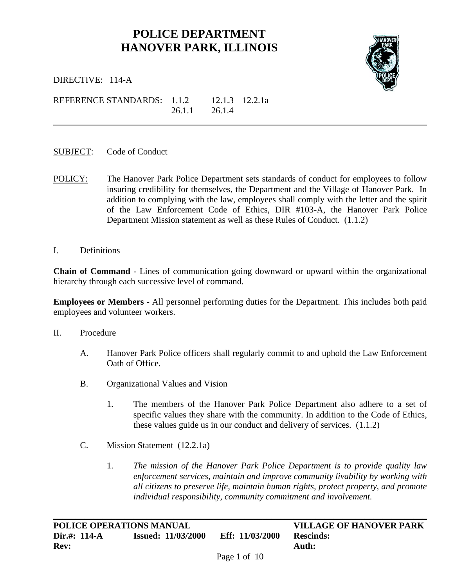## **POLICE DEPARTMENT HANOVER PARK, ILLINOIS**



i<br>L

DIRECTIVE: 114-A

REFERENCE STANDARDS: 1.1.2 12.1.3 12.2.1a 26.1.1 26.1.4

- SUBJECT: Code of Conduct
- POLICY: The Hanover Park Police Department sets standards of conduct for employees to follow insuring credibility for themselves, the Department and the Village of Hanover Park. In addition to complying with the law, employees shall comply with the letter and the spirit of the Law Enforcement Code of Ethics, DIR #103-A, the Hanover Park Police Department Mission statement as well as these Rules of Conduct. (1.1.2)
- I. Definitions

**Chain of Command** - Lines of communication going downward or upward within the organizational hierarchy through each successive level of command.

**Employees or Members** - All personnel performing duties for the Department. This includes both paid employees and volunteer workers.

- II. Procedure
	- A. Hanover Park Police officers shall regularly commit to and uphold the Law Enforcement Oath of Office.
	- B. Organizational Values and Vision
		- 1. The members of the Hanover Park Police Department also adhere to a set of specific values they share with the community. In addition to the Code of Ethics, these values guide us in our conduct and delivery of services. (1.1.2)
	- C. Mission Statement (12.2.1a)
		- 1. *The mission of the Hanover Park Police Department is to provide quality law enforcement services, maintain and improve community livability by working with all citizens to preserve life, maintain human rights, protect property, and promote individual responsibility, community commitment and involvement.*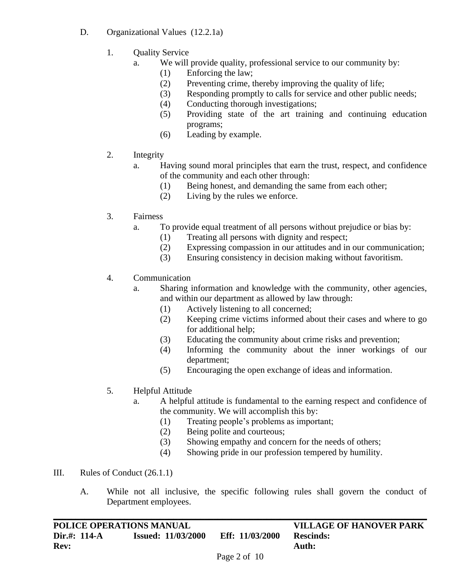- D. Organizational Values (12.2.1a)
	- 1. Quality Service
		- a. We will provide quality, professional service to our community by:
			- (1) Enforcing the law;
			- (2) Preventing crime, thereby improving the quality of life;
			- (3) Responding promptly to calls for service and other public needs;
			- (4) Conducting thorough investigations;
			- (5) Providing state of the art training and continuing education programs;
			- (6) Leading by example.
	- 2. Integrity
		- a. Having sound moral principles that earn the trust, respect, and confidence of the community and each other through:
			- (1) Being honest, and demanding the same from each other;
			- (2) Living by the rules we enforce.
	- 3. Fairness
		- a. To provide equal treatment of all persons without prejudice or bias by:
			- (1) Treating all persons with dignity and respect;
			- (2) Expressing compassion in our attitudes and in our communication;
			- (3) Ensuring consistency in decision making without favoritism.
	- 4. Communication
		- a. Sharing information and knowledge with the community, other agencies, and within our department as allowed by law through:
			- (1) Actively listening to all concerned;
			- (2) Keeping crime victims informed about their cases and where to go for additional help;
			- (3) Educating the community about crime risks and prevention;
			- (4) Informing the community about the inner workings of our department;
			- (5) Encouraging the open exchange of ideas and information.

## 5. Helpful Attitude

- a. A helpful attitude is fundamental to the earning respect and confidence of the community. We will accomplish this by:
	- (1) Treating people's problems as important;
	- (2) Being polite and courteous;
	- (3) Showing empathy and concern for the needs of others;
	- (4) Showing pride in our profession tempered by humility.
- III. Rules of Conduct (26.1.1)
	- A. While not all inclusive, the specific following rules shall govern the conduct of Department employees.

| POLICE OPERATIONS MANUAL |                           |                                                 | <b>VILLAGE OF HANOVER PARK</b> |
|--------------------------|---------------------------|-------------------------------------------------|--------------------------------|
| Dir.#: 114-A             | <b>Issued: 11/03/2000</b> | Eff: 11/03/2000                                 | <b>Rescinds:</b>               |
| <b>Rev:</b>              |                           |                                                 | Auth:                          |
|                          |                           | $D_{\alpha\alpha\alpha}$ $\gamma_{\alpha}$ f 10 |                                |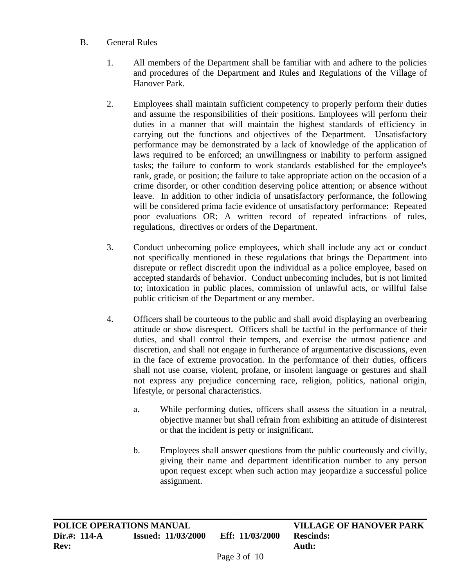## B. General Rules

- 1. All members of the Department shall be familiar with and adhere to the policies and procedures of the Department and Rules and Regulations of the Village of Hanover Park.
- 2. Employees shall maintain sufficient competency to properly perform their duties and assume the responsibilities of their positions. Employees will perform their duties in a manner that will maintain the highest standards of efficiency in carrying out the functions and objectives of the Department. Unsatisfactory performance may be demonstrated by a lack of knowledge of the application of laws required to be enforced; an unwillingness or inability to perform assigned tasks; the failure to conform to work standards established for the employee's rank, grade, or position; the failure to take appropriate action on the occasion of a crime disorder, or other condition deserving police attention; or absence without leave. In addition to other indicia of unsatisfactory performance, the following will be considered prima facie evidence of unsatisfactory performance: Repeated poor evaluations OR; A written record of repeated infractions of rules, regulations, directives or orders of the Department.
- 3. Conduct unbecoming police employees, which shall include any act or conduct not specifically mentioned in these regulations that brings the Department into disrepute or reflect discredit upon the individual as a police employee, based on accepted standards of behavior. Conduct unbecoming includes, but is not limited to; intoxication in public places, commission of unlawful acts, or willful false public criticism of the Department or any member.
- 4. Officers shall be courteous to the public and shall avoid displaying an overbearing attitude or show disrespect. Officers shall be tactful in the performance of their duties, and shall control their tempers, and exercise the utmost patience and discretion, and shall not engage in furtherance of argumentative discussions, even in the face of extreme provocation. In the performance of their duties, officers shall not use coarse, violent, profane, or insolent language or gestures and shall not express any prejudice concerning race, religion, politics, national origin, lifestyle, or personal characteristics.
	- a. While performing duties, officers shall assess the situation in a neutral, objective manner but shall refrain from exhibiting an attitude of disinterest or that the incident is petty or insignificant.
	- b. Employees shall answer questions from the public courteously and civilly, giving their name and department identification number to any person upon request except when such action may jeopardize a successful police assignment.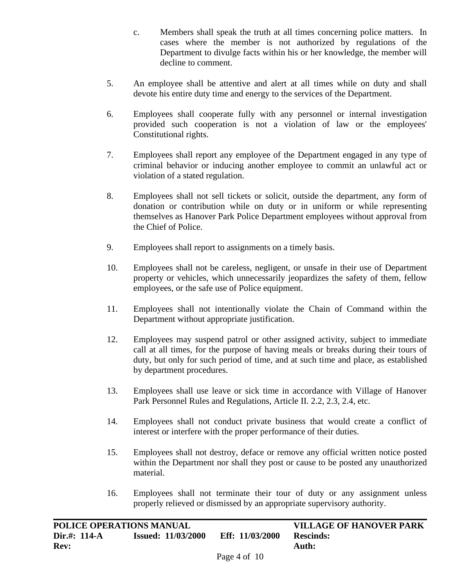- c. Members shall speak the truth at all times concerning police matters. In cases where the member is not authorized by regulations of the Department to divulge facts within his or her knowledge, the member will decline to comment.
- 5. An employee shall be attentive and alert at all times while on duty and shall devote his entire duty time and energy to the services of the Department.
- 6. Employees shall cooperate fully with any personnel or internal investigation provided such cooperation is not a violation of law or the employees' Constitutional rights.
- 7. Employees shall report any employee of the Department engaged in any type of criminal behavior or inducing another employee to commit an unlawful act or violation of a stated regulation.
- 8. Employees shall not sell tickets or solicit, outside the department, any form of donation or contribution while on duty or in uniform or while representing themselves as Hanover Park Police Department employees without approval from the Chief of Police.
- 9. Employees shall report to assignments on a timely basis.
- 10. Employees shall not be careless, negligent, or unsafe in their use of Department property or vehicles, which unnecessarily jeopardizes the safety of them, fellow employees, or the safe use of Police equipment.
- 11. Employees shall not intentionally violate the Chain of Command within the Department without appropriate justification.
- 12. Employees may suspend patrol or other assigned activity, subject to immediate call at all times, for the purpose of having meals or breaks during their tours of duty, but only for such period of time, and at such time and place, as established by department procedures.
- 13. Employees shall use leave or sick time in accordance with Village of Hanover Park Personnel Rules and Regulations, Article II. 2.2, 2.3, 2.4, etc.
- 14. Employees shall not conduct private business that would create a conflict of interest or interfere with the proper performance of their duties.
- 15. Employees shall not destroy, deface or remove any official written notice posted within the Department nor shall they post or cause to be posted any unauthorized material.
- 16. Employees shall not terminate their tour of duty or any assignment unless properly relieved or dismissed by an appropriate supervisory authority.

| POLICE OPERATIONS MANUAL |                           |                                       | <b>VILLAGE OF HANOVER PARK</b> |
|--------------------------|---------------------------|---------------------------------------|--------------------------------|
| Dir.#: 114-A             | <b>Issued: 11/03/2000</b> | Eff: 11/03/2000                       | <b>Rescinds:</b>               |
| <b>Rev:</b>              |                           |                                       | Auth:                          |
|                          |                           | $\Gamma_{\alpha\alpha\alpha}$ 4 of 10 |                                |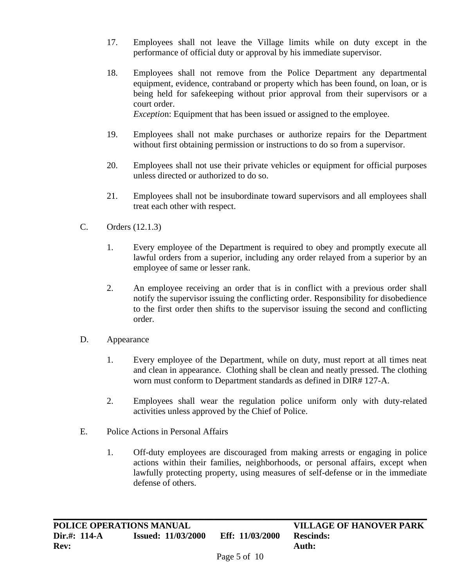- 17. Employees shall not leave the Village limits while on duty except in the performance of official duty or approval by his immediate supervisor.
- 18. Employees shall not remove from the Police Department any departmental equipment, evidence, contraband or property which has been found, on loan, or is being held for safekeeping without prior approval from their supervisors or a court order. *Exceptio*n: Equipment that has been issued or assigned to the employee.

- 19. Employees shall not make purchases or authorize repairs for the Department without first obtaining permission or instructions to do so from a supervisor.
- 20. Employees shall not use their private vehicles or equipment for official purposes unless directed or authorized to do so.
- 21. Employees shall not be insubordinate toward supervisors and all employees shall treat each other with respect.
- C. Orders (12.1.3)
	- 1. Every employee of the Department is required to obey and promptly execute all lawful orders from a superior, including any order relayed from a superior by an employee of same or lesser rank.
	- 2. An employee receiving an order that is in conflict with a previous order shall notify the supervisor issuing the conflicting order. Responsibility for disobedience to the first order then shifts to the supervisor issuing the second and conflicting order.
- D. Appearance
	- 1. Every employee of the Department, while on duty, must report at all times neat and clean in appearance. Clothing shall be clean and neatly pressed. The clothing worn must conform to Department standards as defined in DIR# 127-A.
	- 2. Employees shall wear the regulation police uniform only with duty-related activities unless approved by the Chief of Police.
- E. Police Actions in Personal Affairs
	- 1. Off-duty employees are discouraged from making arrests or engaging in police actions within their families, neighborhoods, or personal affairs, except when lawfully protecting property, using measures of self-defense or in the immediate defense of others.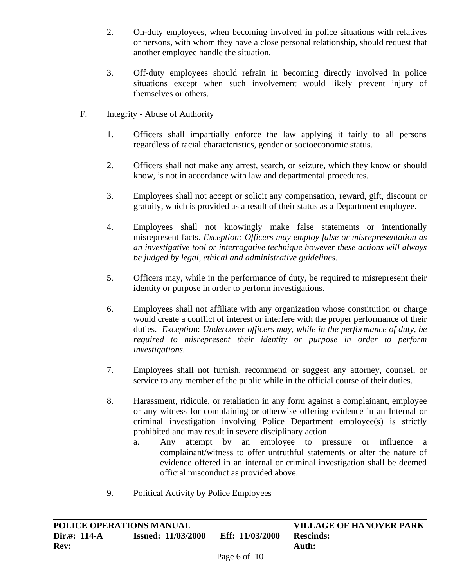- 2. On-duty employees, when becoming involved in police situations with relatives or persons, with whom they have a close personal relationship, should request that another employee handle the situation.
- 3. Off-duty employees should refrain in becoming directly involved in police situations except when such involvement would likely prevent injury of themselves or others.
- F. Integrity Abuse of Authority
	- 1. Officers shall impartially enforce the law applying it fairly to all persons regardless of racial characteristics, gender or socioeconomic status.
	- 2. Officers shall not make any arrest, search, or seizure, which they know or should know, is not in accordance with law and departmental procedures.
	- 3. Employees shall not accept or solicit any compensation, reward, gift, discount or gratuity, which is provided as a result of their status as a Department employee.
	- 4. Employees shall not knowingly make false statements or intentionally misrepresent facts. *Exception: Officers may employ false or misrepresentation as an investigative tool or interrogative technique however these actions will always be judged by legal, ethical and administrative guidelines.*
	- 5. Officers may, while in the performance of duty, be required to misrepresent their identity or purpose in order to perform investigations.
	- 6. Employees shall not affiliate with any organization whose constitution or charge would create a conflict of interest or interfere with the proper performance of their duties. *Exceptio*n: *Undercover officers may, while in the performance of duty, be required to misrepresent their identity or purpose in order to perform investigations.*
	- 7. Employees shall not furnish, recommend or suggest any attorney, counsel, or service to any member of the public while in the official course of their duties.
	- 8. Harassment, ridicule, or retaliation in any form against a complainant, employee or any witness for complaining or otherwise offering evidence in an Internal or criminal investigation involving Police Department employee(s) is strictly prohibited and may result in severe disciplinary action.
		- a. Any attempt by an employee to pressure or influence a complainant/witness to offer untruthful statements or alter the nature of evidence offered in an internal or criminal investigation shall be deemed official misconduct as provided above.
	- 9. Political Activity by Police Employees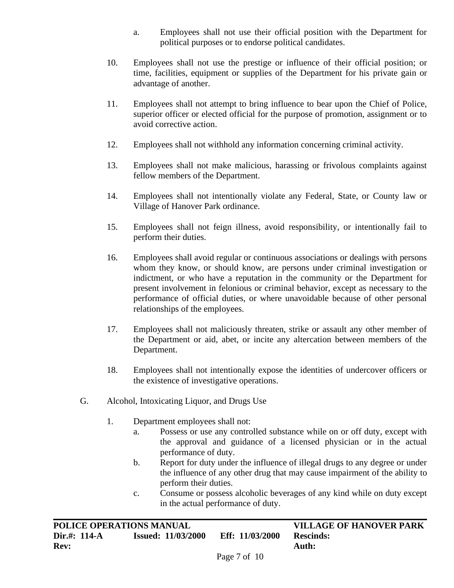- a. Employees shall not use their official position with the Department for political purposes or to endorse political candidates.
- 10. Employees shall not use the prestige or influence of their official position; or time, facilities, equipment or supplies of the Department for his private gain or advantage of another.
- 11. Employees shall not attempt to bring influence to bear upon the Chief of Police, superior officer or elected official for the purpose of promotion, assignment or to avoid corrective action.
- 12. Employees shall not withhold any information concerning criminal activity.
- 13. Employees shall not make malicious, harassing or frivolous complaints against fellow members of the Department.
- 14. Employees shall not intentionally violate any Federal, State, or County law or Village of Hanover Park ordinance.
- 15. Employees shall not feign illness, avoid responsibility, or intentionally fail to perform their duties.
- 16. Employees shall avoid regular or continuous associations or dealings with persons whom they know, or should know, are persons under criminal investigation or indictment, or who have a reputation in the community or the Department for present involvement in felonious or criminal behavior, except as necessary to the performance of official duties, or where unavoidable because of other personal relationships of the employees.
- 17. Employees shall not maliciously threaten, strike or assault any other member of the Department or aid, abet, or incite any altercation between members of the Department.
- 18. Employees shall not intentionally expose the identities of undercover officers or the existence of investigative operations.
- G. Alcohol, Intoxicating Liquor, and Drugs Use
	- 1. Department employees shall not:
		- a. Possess or use any controlled substance while on or off duty, except with the approval and guidance of a licensed physician or in the actual performance of duty.
		- b. Report for duty under the influence of illegal drugs to any degree or under the influence of any other drug that may cause impairment of the ability to perform their duties.
		- c. Consume or possess alcoholic beverages of any kind while on duty except in the actual performance of duty.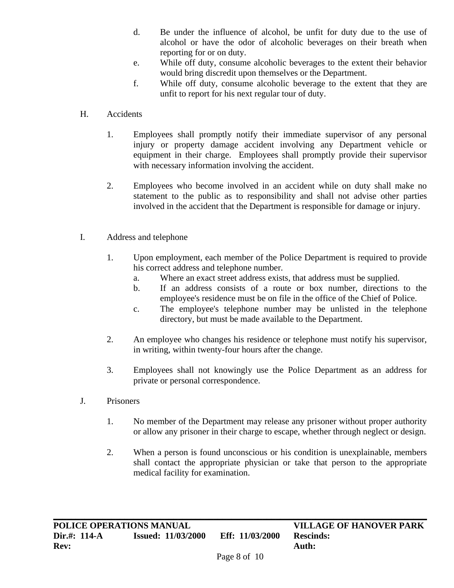- d. Be under the influence of alcohol, be unfit for duty due to the use of alcohol or have the odor of alcoholic beverages on their breath when reporting for or on duty.
- e. While off duty, consume alcoholic beverages to the extent their behavior would bring discredit upon themselves or the Department.
- f. While off duty, consume alcoholic beverage to the extent that they are unfit to report for his next regular tour of duty.
- H. Accidents
	- 1. Employees shall promptly notify their immediate supervisor of any personal injury or property damage accident involving any Department vehicle or equipment in their charge. Employees shall promptly provide their supervisor with necessary information involving the accident.
	- 2. Employees who become involved in an accident while on duty shall make no statement to the public as to responsibility and shall not advise other parties involved in the accident that the Department is responsible for damage or injury.
- I. Address and telephone
	- 1. Upon employment, each member of the Police Department is required to provide his correct address and telephone number.
		- a. Where an exact street address exists, that address must be supplied.
		- b. If an address consists of a route or box number, directions to the employee's residence must be on file in the office of the Chief of Police.
		- c. The employee's telephone number may be unlisted in the telephone directory, but must be made available to the Department.
	- 2. An employee who changes his residence or telephone must notify his supervisor, in writing, within twenty-four hours after the change.
	- 3. Employees shall not knowingly use the Police Department as an address for private or personal correspondence.
- J. Prisoners
	- 1. No member of the Department may release any prisoner without proper authority or allow any prisoner in their charge to escape, whether through neglect or design.
	- 2. When a person is found unconscious or his condition is unexplainable, members shall contact the appropriate physician or take that person to the appropriate medical facility for examination.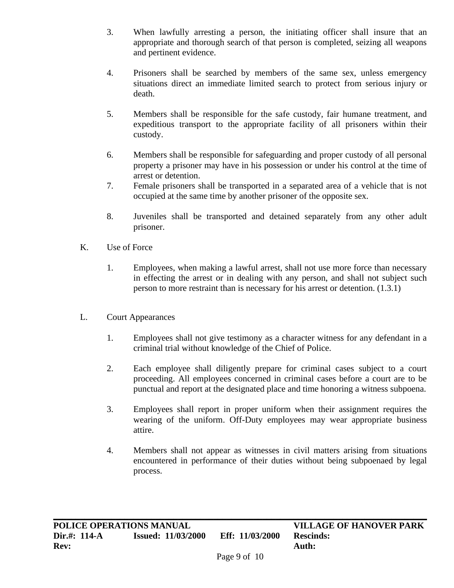- 3. When lawfully arresting a person, the initiating officer shall insure that an appropriate and thorough search of that person is completed, seizing all weapons and pertinent evidence.
- 4. Prisoners shall be searched by members of the same sex, unless emergency situations direct an immediate limited search to protect from serious injury or death.
- 5. Members shall be responsible for the safe custody, fair humane treatment, and expeditious transport to the appropriate facility of all prisoners within their custody.
- 6. Members shall be responsible for safeguarding and proper custody of all personal property a prisoner may have in his possession or under his control at the time of arrest or detention.
- 7. Female prisoners shall be transported in a separated area of a vehicle that is not occupied at the same time by another prisoner of the opposite sex.
- 8. Juveniles shall be transported and detained separately from any other adult prisoner.
- K. Use of Force
	- 1. Employees, when making a lawful arrest, shall not use more force than necessary in effecting the arrest or in dealing with any person, and shall not subject such person to more restraint than is necessary for his arrest or detention. (1.3.1)
- L. Court Appearances
	- 1. Employees shall not give testimony as a character witness for any defendant in a criminal trial without knowledge of the Chief of Police.
	- 2. Each employee shall diligently prepare for criminal cases subject to a court proceeding. All employees concerned in criminal cases before a court are to be punctual and report at the designated place and time honoring a witness subpoena.
	- 3. Employees shall report in proper uniform when their assignment requires the wearing of the uniform. Off-Duty employees may wear appropriate business attire.
	- 4. Members shall not appear as witnesses in civil matters arising from situations encountered in performance of their duties without being subpoenaed by legal process.